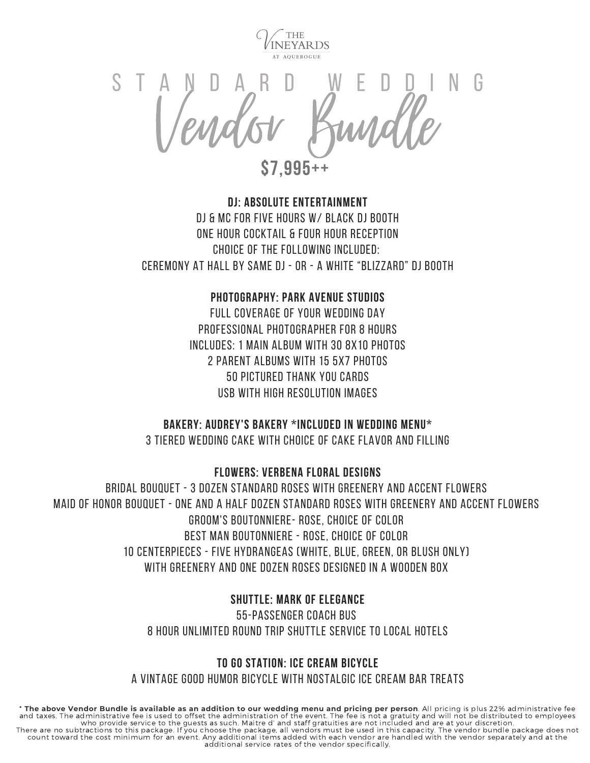

ANDARD WEDDI S T A N D A R D W E D D I N G

**\$7,995++**

# **DJ: Absolute Entertainment** DJ & MC for Five Hours w/ Black DJ Booth One Hour Cocktail & Four Hour Reception Choice of the Following Included: Ceremony at Hall by same DJ - or - a White "Blizzard" DJ Booth

## **Photography: Park Avenue Studios**

Full Coverage of Your Wedding Day Professional Photographer for 8 Hours Includes: 1 Main Album with 30 8x10 Photos 2 Parent Albums with 15 5x7 Photos 50 Pictured Thank You Cards usb with high resolution Images

### **Bakery: Audrey's bakery \*included in wedding menu\***

3 Tiered Wedding Cake with Choice of Cake Flavor and Filling

**Flowers: Verbena Floral Designs**

Bridal Bouquet - 3 dozen standard roses with greenery and accent flowers Maid of Honor Bouquet - one and a half dozen standard roses with greenery and accent flowers Groom's Boutonniere- rose, choice of color Best Man Boutonniere - rose, choice of color 10 centerpieces - five hydrangeas (white, blue, green, or blush only) with greenery and one dozen roses designed in a wooden box

### **Shuttle: Mark of elegance**

55-passenger coach bus 8 hour unlimited round trip shuttle service to local hotels

### **TO GO STATION: iCE cREAM bICYCLE**

A VINTAGE GOOD HUMOR BICYCLE WITH NOSTALGIC ICE CREAM BAR TREATS

\* The above Vendor Bundle is available as an addition to our wedding menu and pricing per person. All pricing is plus 22% administrative fee and taxes. The administrative fee is used to offset the administration of the event. The fee is not a gratuity and will not be distributed to employees<br>who provide service to the guests as such. Maitre d' and staff gratuit count toward the cost minimum for an event. Any additional items added with each vendor are handled with the vendor separately and at the additional service rates of the vendor specifically.